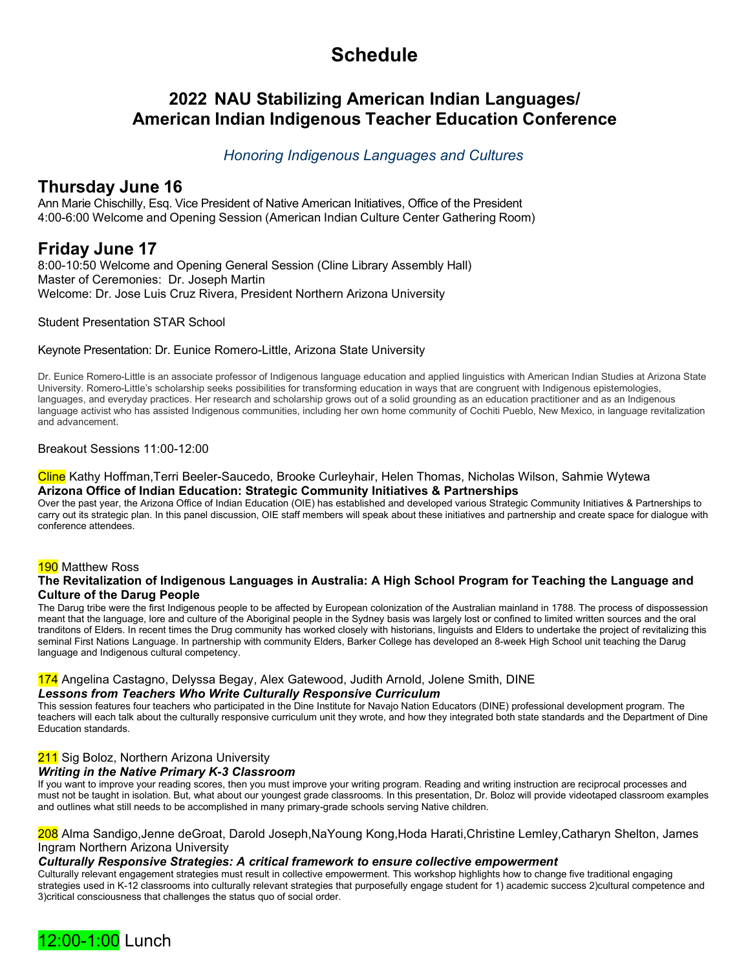# **Schedule**

# **2022 NAU Stabilizing American Indian Languages/ American Indian Indigenous Teacher Education Conference**

# *Honoring Indigenous Languages and Cultures*

# **Thursday June 16**

Ann Marie Chischilly, Esq. Vice President of Native American Initiatives, Office of the President 4:00-6:00 Welcome and Opening Session (American Indian Culture Center Gathering Room)

# **Friday June 17**

8:00-10:50 Welcome and Opening General Session (Cline Library Assembly Hall) Master of Ceremonies: Dr. Joseph Martin Welcome: Dr. Jose Luis Cruz Rivera, President Northern Arizona University

Student Presentation STAR School

Keynote Presentation: Dr. Eunice Romero-Little, Arizona State University

 Dr. Eunice Romero-Little is an associate professor of Indigenous language education and applied linguistics with American Indian Studies at Arizona State University. Romero-Little's scholarship seeks possibilities for transforming education in ways that are congruent with Indigenous epistemologies, languages, and everyday practices. Her research and scholarship grows out of a solid grounding as an education practitioner and as an Indigenous language activist who has assisted Indigenous communities, including her own home community of Cochiti Pueblo, New Mexico, in language revitalization and advancement.

Breakout Sessions 11:00-12:00

## Cline Kathy Hoffman,Terri Beeler-Saucedo, Brooke Curleyhair, Helen Thomas, Nicholas Wilson, Sahmie Wytewa **Arizona Office of Indian Education: Strategic Community Initiatives & Partnerships**

Over the past year, the Arizona Office of Indian Education (OIE) has established and developed various Strategic Community Initiatives & Partnerships to carry out its strategic plan. In this panel discussion, OIE staff members will speak about these initiatives and partnership and create space for dialogue with conference attendees.

## 190 Matthew Ross

## **The Revitalization of Indigenous Languages in Australia: A High School Program for Teaching the Language and Culture of the Darug People**

The Darug tribe were the first Indigenous people to be affected by European colonization of the Australian mainland in 1788. The process of dispossession meant that the language, lore and culture of the Aboriginal people in the Sydney basis was largely lost or confined to limited written sources and the oral tranditons of Elders. In recent times the Drug community has worked closely with historians, linguists and Elders to undertake the project of revitalizing this seminal First Nations Language. In partnership with community Elders, Barker College has developed an 8-week High School unit teaching the Darug language and Indigenous cultural competency.

## 174 Angelina Castagno, Delyssa Begay, Alex Gatewood, Judith Arnold, Jolene Smith, DINE *Lessons from Teachers Who Write Culturally Responsive Curriculum*

This session features four teachers who participated in the Dine Institute for Navajo Nation Educators (DINE) professional development program. The teachers will each talk about the culturally responsive curriculum unit they wrote, and how they integrated both state standards and the Department of Dine Education standards.

## 211 Sig Boloz, Northern Arizona University

## *Writing in the Native Primary K-3 Classroom*

If you want to improve your reading scores, then you must improve your writing program. Reading and writing instruction are reciprocal processes and must not be taught in isolation. But, what about our youngest grade classrooms. In this presentation, Dr. Boloz will provide videotaped classroom examples and outlines what still needs to be accomplished in many primary-grade schools serving Native children.

208 Alma Sandigo,Jenne deGroat, Darold Joseph,NaYoung Kong,Hoda Harati,Christine Lemley,Catharyn Shelton, James Ingram Northern Arizona University

## *Culturally Responsive Strategies: A critical framework to ensure collective empowerment*

Culturally relevant engagement strategies must result in collective empowerment. This workshop highlights how to change five traditional engaging strategies used in K-12 classrooms into culturally relevant strategies that purposefully engage student for 1) academic success 2)cultural competence and 3)critical consciousness that challenges the status quo of social order.

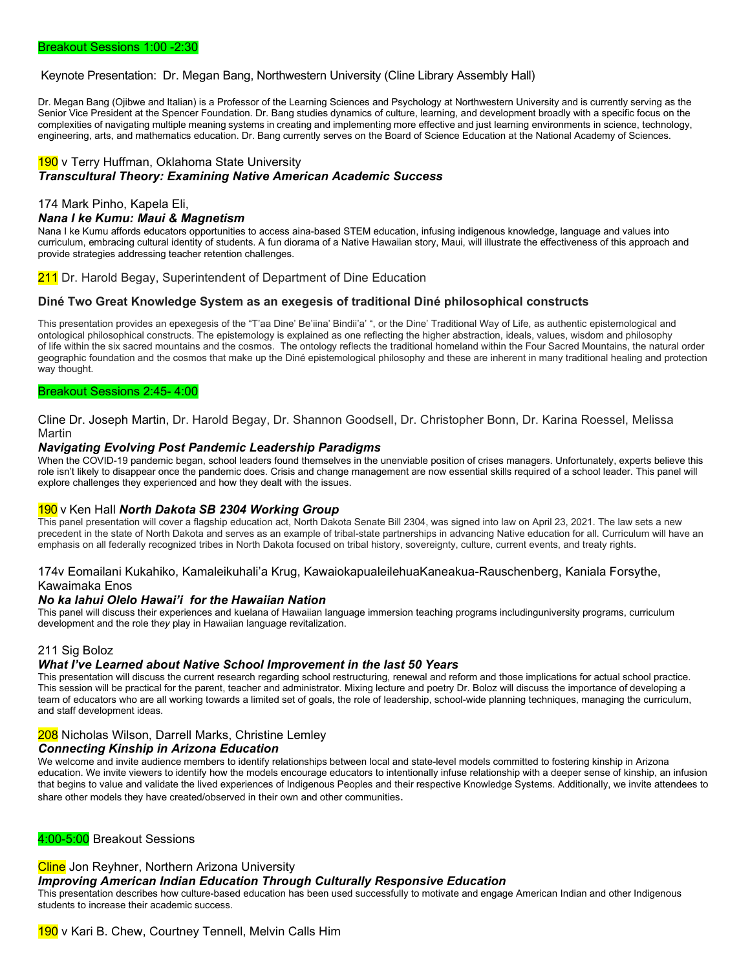### Keynote Presentation: Dr. Megan Bang, Northwestern University (Cline Library Assembly Hall)

Dr. Megan Bang (Ojibwe and Italian) is a Professor of the Learning Sciences and Psychology at Northwestern University and is currently serving as the Senior Vice President at the Spencer Foundation. Dr. Bang studies dynamics of culture, learning, and development broadly with a specific focus on the complexities of navigating multiple meaning systems in creating and implementing more effective and just learning environments in science, technology, engineering, arts, and mathematics education. Dr. Bang currently serves on the Board of Science Education at the National Academy of Sciences.

## 190 v Terry Huffman, Oklahoma State University *Transcultural Theory: Examining Native American Academic Success*

### 174 Mark Pinho, Kapela Eli,

#### *Nana I ke Kumu: Maui & Magnetism*

Nana I ke Kumu affords educators opportunities to access aina-based STEM education, infusing indigenous knowledge, language and values into curriculum, embracing cultural identity of students. A fun diorama of a Native Hawaiian story, Maui, will illustrate the effectiveness of this approach and provide strategies addressing teacher retention challenges.

211 Dr. Harold Begay, Superintendent of Department of Dine Education

### **Diné Two Great Knowledge System as an exegesis of traditional Diné philosophical constructs**

This presentation provides an epexegesis of the "T'aa Dine' Be'iina' Bindii'a' ", or the Dine' Traditional Way of Life, as authentic epistemological and ontological philosophical constructs. The epistemology is explained as one reflecting the higher abstraction, ideals, values, wisdom and philosophy of life within the six sacred mountains and the cosmos. The ontology reflects the traditional homeland within the Four Sacred Mountains, the natural order geographic foundation and the cosmos that make up the Diné epistemological philosophy and these are inherent in many traditional healing and protection way thought.

#### Breakout Sessions 2:45- 4:00

Cline Dr. Joseph Martin, Dr. Harold Begay, Dr. Shannon Goodsell, Dr. Christopher Bonn, Dr. Karina Roessel, Melissa Martin

### *Navigating Evolving Post Pandemic Leadership Paradigms*

When the COVID-19 pandemic began, school leaders found themselves in the unenviable position of crises managers. Unfortunately, experts believe this role isn't likely to disappear once the pandemic does. Crisis and change management are now essential skills required of a school leader. This panel will explore challenges they experienced and how they dealt with the issues.

### 190 v Ken Hall *North Dakota SB 2304 Working Group*

This panel presentation will cover a flagship education act, North Dakota Senate Bill 2304, was signed into law on April 23, 2021. The law sets a new precedent in the state of North Dakota and serves as an example of tribal-state partnerships in advancing Native education for all. Curriculum will have an emphasis on all federally recognized tribes in North Dakota focused on tribal history, sovereignty, culture, current events, and treaty rights.

### 174v Eomailani Kukahiko, Kamaleikuhali'a Krug, KawaiokapualeilehuaKaneakua-Rauschenberg, Kaniala Forsythe, Kawaimaka Enos

#### *No ka lahui Olelo Hawai'i**for the Hawaiian Nation*

This panel will discuss their experiences and kuelana of Hawaiian language immersion teaching programs includinguniversity programs, curriculum development and the role th*ey* play in Hawaiian language revitalization.

### 211 Sig Boloz

### *What I've Learned about Native School Improvement in the last 50 Years*

This presentation will discuss the current research regarding school restructuring, renewal and reform and those implications for actual school practice. This session will be practical for the parent, teacher and administrator. Mixing lecture and poetry Dr. Boloz will discuss the importance of developing a team of educators who are all working towards a limited set of goals, the role of leadership, school-wide planning techniques, managing the curriculum, and staff development ideas.

### 208 Nicholas Wilson, Darrell Marks, Christine Lemley

### *Connecting Kinship in Arizona Education*

We welcome and invite audience members to identify relationships between local and state-level models committed to fostering kinship in Arizona education. We invite viewers to identify how the models encourage educators to intentionally infuse relationship with a deeper sense of kinship, an infusion that begins to value and validate the lived experiences of Indigenous Peoples and their respective Knowledge Systems. Additionally, we invite attendees to share other models they have created/observed in their own and other communities.

4:00-5:00 Breakout Sessions

### Cline Jon Reyhner, Northern Arizona University

### *Improving American Indian Education Through Culturally Responsive Education*

This presentation describes how culture-based education has been used successfully to motivate and engage American Indian and other Indigenous students to increase their academic success.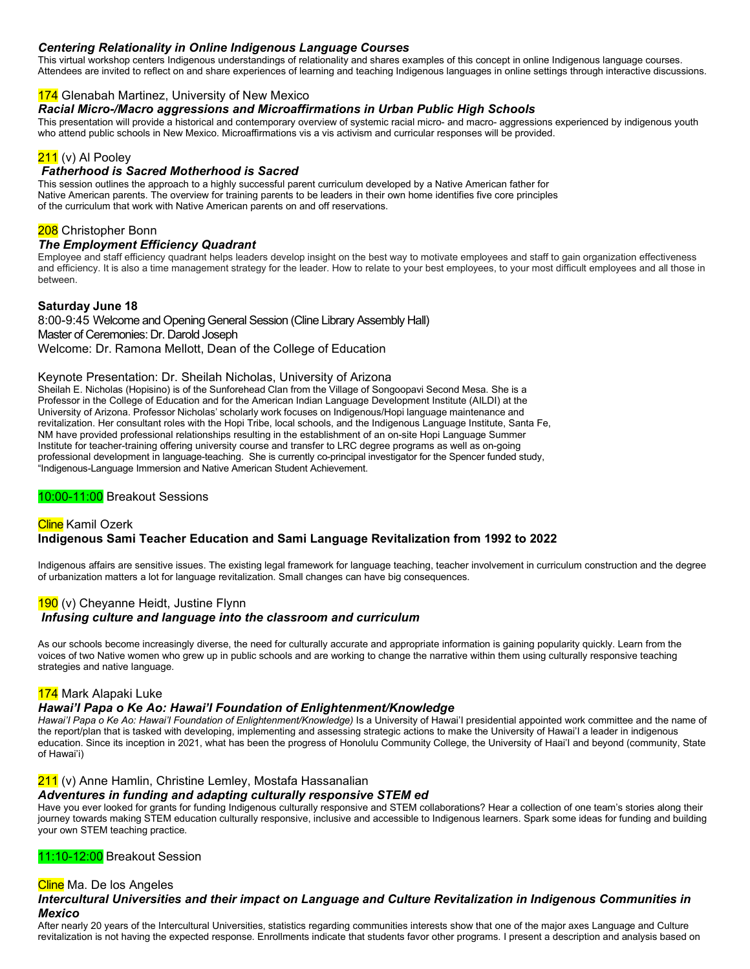## *Centering Relationality in Online Indigenous Language Courses*

This virtual workshop centers Indigenous understandings of relationality and shares examples of this concept in online Indigenous language courses. Attendees are invited to reflect on and share experiences of learning and teaching Indigenous languages in online settings through interactive discussions.

## 174 Glenabah Martinez, University of New Mexico

*Racial Micro-/Macro aggressions and Microaffirmations in Urban Public High Schools*

This presentation will provide a historical and contemporary overview of systemic racial micro- and macro- aggressions experienced by indigenous youth who attend public schools in New Mexico. Microaffirmations vis a vis activism and curricular responses will be provided.

## 211 (v) Al Pooley

## *Fatherhood is Sacred Motherhood is Sacred*

This session outlines the approach to a highly successful parent curriculum developed by a Native American father for Native American parents. The overview for training parents to be leaders in their own home identifies five core principles of the curriculum that work with Native American parents on and off reservations.

## 208 Christopher Bonn

#### *The Employment Efficiency Quadrant*

Employee and staff efficiency quadrant helps leaders develop insight on the best way to motivate employees and staff to gain organization effectiveness and efficiency. It is also a time management strategy for the leader. How to relate to your best employees, to your most difficult employees and all those in between.

## **Saturday June 18**

8:00-9:45 Welcome and Opening General Session (Cline Library Assembly Hall) Master of Ceremonies: Dr. Darold Joseph Welcome: Dr. Ramona Mellott, Dean of the College of Education

### Keynote Presentation: Dr. Sheilah Nicholas, University of Arizona

Sheilah E. Nicholas (Hopisino) is of the Sunforehead Clan from the Village of Songoopavi Second Mesa. She is a Professor in the College of Education and for the American Indian Language Development Institute (AILDI) at the University of Arizona. Professor Nicholas' scholarly work focuses on Indigenous/Hopi language maintenance and revitalization. Her consultant roles with the Hopi Tribe, local schools, and the Indigenous Language Institute, Santa Fe, NM have provided professional relationships resulting in the establishment of an on-site Hopi Language Summer Institute for teacher-training offering university course and transfer to LRC degree programs as well as on-going professional development in language-teaching. She is currently co-principal investigator for the Spencer funded study, "Indigenous-Language Immersion and Native American Student Achievement.

## 10:00-11:00 Breakout Sessions

## **Cline** Kamil Ozerk **Indigenous Sami Teacher Education and Sami Language Revitalization from 1992 to 2022**

Indigenous affairs are sensitive issues. The existing legal framework for language teaching, teacher involvement in curriculum construction and the degree of urbanization matters a lot for language revitalization. Small changes can have big consequences.

## 190 (v) Cheyanne Heidt, Justine Flynn *Infusing culture and language into the classroom and curriculum*

As our schools become increasingly diverse, the need for culturally accurate and appropriate information is gaining popularity quickly. Learn from the voices of two Native women who grew up in public schools and are working to change the narrative within them using culturally responsive teaching strategies and native language.

### 174 Mark Alapaki Luke

## *Hawai'I Papa o Ke Ao: Hawai'I Foundation of Enlightenment/Knowledge*

Hawai'I Papa o Ke Ao: Hawai'I Foundation of Enlightenment/Knowledge) Is a University of Hawai'l presidential appointed work committee and the name of the report/plan that is tasked with developing, implementing and assessing strategic actions to make the University of Hawai'I a leader in indigenous education. Since its inception in 2021, what has been the progress of Honolulu Community College, the University of Haai'I and beyond (community, State of Hawai'i)

### 211 (v) Anne Hamlin, Christine Lemley, Mostafa Hassanalian

### *Adventures in funding and adapting culturally responsive STEM ed*

Have you ever looked for grants for funding Indigenous culturally responsive and STEM collaborations? Hear a collection of one team's stories along their journey towards making STEM education culturally responsive, inclusive and accessible to Indigenous learners. Spark some ideas for funding and building your own STEM teaching practice.

### 11:10-12:00 Breakout Session

### Cline Ma. De los Angeles

## *Intercultural Universities and their impact on Language and Culture Revitalization in Indigenous Communities in Mexico*

After nearly 20 years of the Intercultural Universities, statistics regarding communities interests show that one of the major axes Language and Culture revitalization is not having the expected response. Enrollments indicate that students favor other programs. I present a description and analysis based on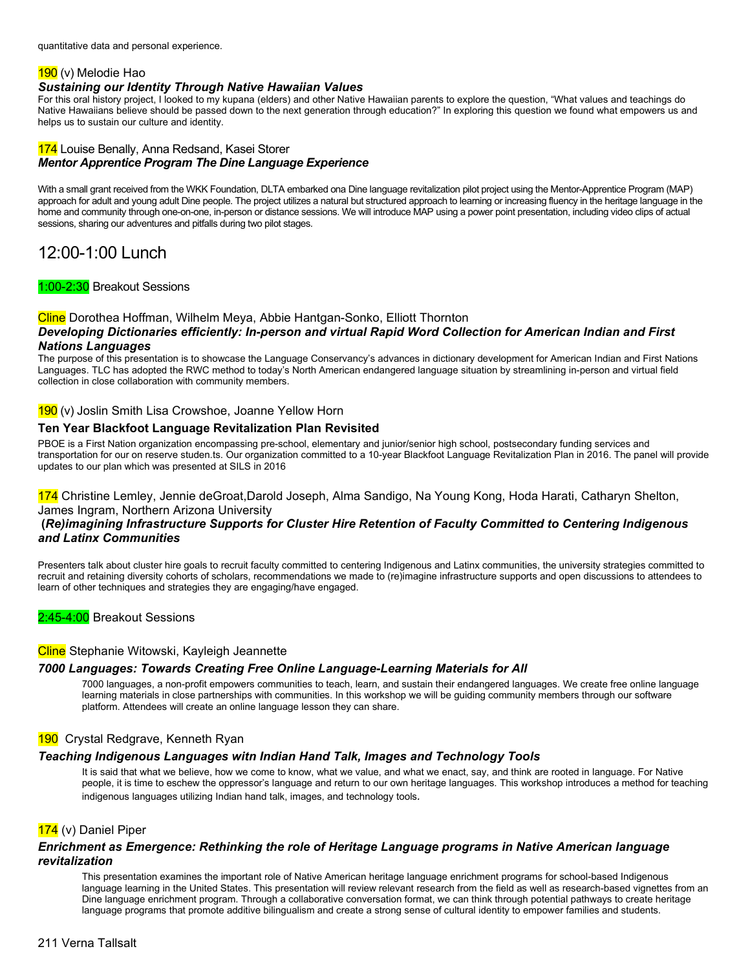quantitative data and personal experience.

## 190 (v) Melodie Hao

## *Sustaining our Identity Through Native Hawaiian Values*

For this oral history project, I looked to my kupana (elders) and other Native Hawaiian parents to explore the question, "What values and teachings do Native Hawaiians believe should be passed down to the next generation through education?" In exploring this question we found what empowers us and helps us to sustain our culture and identity.

## 174 Louise Benally, Anna Redsand, Kasei Storer *Mentor Apprentice Program The Dine Language Experience*

With a small grant received from the WKK Foundation, DLTA embarked ona Dine language revitalization pilot project using the Mentor-Apprentice Program (MAP) approach for adult and young adult Dine people. The project utilizes a natural but structured approach to learning or increasing fluency in the heritage language in the home and community through one-on-one, in-person or distance sessions. We will introduce MAP using a power point presentation, including video clips of actual sessions, sharing our adventures and pitfalls during two pilot stages.

# 12:00-1:00 Lunch

## 1:00-2:30 Breakout Sessions

#### Cline Dorothea Hoffman, Wilhelm Meya, Abbie Hantgan-Sonko, Elliott Thornton *Developing Dictionaries efficiently: In-person and virtual Rapid Word Collection for American Indian and First Nations Languages*

The purpose of this presentation is to showcase the Language Conservancy's advances in dictionary development for American Indian and First Nations Languages. TLC has adopted the RWC method to today's North American endangered language situation by streamlining in-person and virtual field collection in close collaboration with community members.

## 190 (v) Joslin Smith Lisa Crowshoe, Joanne Yellow Horn

## **Ten Year Blackfoot Language Revitalization Plan Revisited**

PBOE is a First Nation organization encompassing pre-school, elementary and junior/senior high school, postsecondary funding services and transportation for our on reserve studen.ts. Our organization committed to a 10-year Blackfoot Language Revitalization Plan in 2016. The panel will provide updates to our plan which was presented at SILS in 2016

## 174 Christine Lemley, Jennie deGroat,Darold Joseph, Alma Sandigo, Na Young Kong, Hoda Harati, Catharyn Shelton, James Ingram, Northern Arizona University

## **(***Re)imagining Infrastructure Supports for Cluster Hire Retention of Faculty Committed to Centering Indigenous and Latinx Communities*

Presenters talk about cluster hire goals to recruit faculty committed to centering Indigenous and Latinx communities, the university strategies committed to recruit and retaining diversity cohorts of scholars, recommendations we made to (re)imagine infrastructure supports and open discussions to attendees to learn of other techniques and strategies they are engaging/have engaged.

2:45-4:00 Breakout Sessions

## Cline Stephanie Witowski, Kayleigh Jeannette

## *7000 Languages: Towards Creating Free Online Language-Learning Materials for All*

7000 languages, a non-profit empowers communities to teach, learn, and sustain their endangered languages. We create free online language learning materials in close partnerships with communities. In this workshop we will be guiding community members through our software platform. Attendees will create an online language lesson they can share.

## 190 Crystal Redgrave, Kenneth Ryan

## *Teaching Indigenous Languages witn Indian Hand Talk, Images and Technology Tools*

It is said that what we believe, how we come to know, what we value, and what we enact, say, and think are rooted in language. For Native people, it is time to eschew the oppressor's language and return to our own heritage languages. This workshop introduces a method for teaching indigenous languages utilizing Indian hand talk, images, and technology tools*.* 

## 174 (v) Daniel Piper

## *Enrichment as Emergence: Rethinking the role of Heritage Language programs in Native American language revitalization*

This presentation examines the important role of Native American heritage language enrichment programs for school-based Indigenous language learning in the United States. This presentation will review relevant research from the field as well as research-based vignettes from an Dine language enrichment program. Through a collaborative conversation format, we can think through potential pathways to create heritage language programs that promote additive bilingualism and create a strong sense of cultural identity to empower families and students.